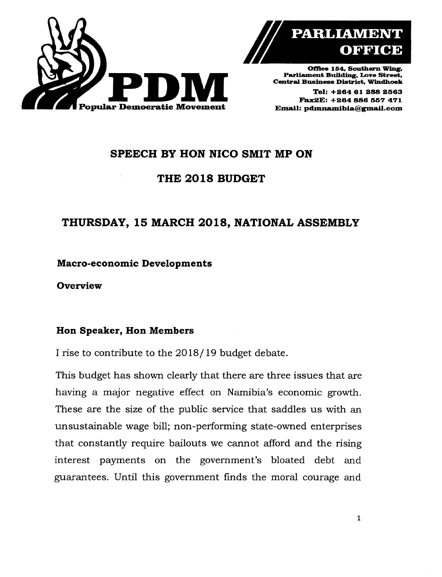



**Offtee 154. Southern Wing. Parliament Building, Love Street. Central Business District, Windhoek**

**Tel: +26461288 2563 Fa.x2E: +264 886 557 471**

# **SPEECH BY HON NICO SMIT MP ON**

## **THE 2018 BUDGET**

# **THURSDAY, 15 MARCH 2018, NATIONAL ASSEMBLY**

**Macro-economic Developments**

**Overview**

#### **Ron Speaker, Ron Members**

I rise to contribute to the 2018/19 budget debate.

This budget has shown clearly that there are three issues that are having a major negative effect on Namibia's economic growth. These are the size of the public service that saddles us with an unsustainable wage bill; non-performing state-owned enterprises that constantly require bailouts we cannot afford and the rising interest payments on the government's bloated debt and guarantees. Until this government finds the moral courage and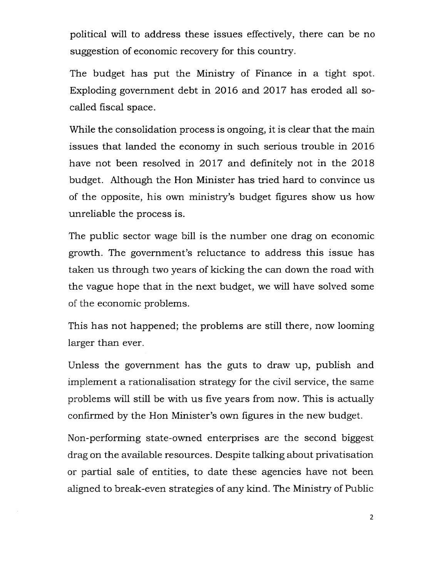political will to address these issues effectively, there can be no suggestion of economic recovery for this country.

The budget has put the Ministry of Finance in a tight spot. Exploding government debt in 2016 and 2017 has eroded all socalled fiscal space.

While the consolidation process is ongoing, it is clear that the main issues that landed the economy in such serious trouble in 2016 have not been resolved in 2017 and definitely not in the 2018 budget. Although the Hon Minister has tried hard to convince us of the opposite, his own ministry's budget figures show us how unreliable the process is.

The public sector wage bill is the number one drag on economic growth. The government's reluctance to address this issue has taken us through two years of kicking the can down the road with the vague hope that in the next budget, we will have solved some of the economic problems.

This has not happened; the problems are still there, now looming larger than ever.

Unless the government has the guts to draw up, publish and implement a rationalisation strategy for the civil service, the same problems will still be with us five years from now. This is actually confirmed by the Hon Minister's own figures in the new budget.

Non-performing state-owned enterprises are the second biggest drag on the available resources. Despite talking about privatisation or partial sale of entities, to date these agencies have not been aligned to break-even strategies of any kind. The Ministry of Public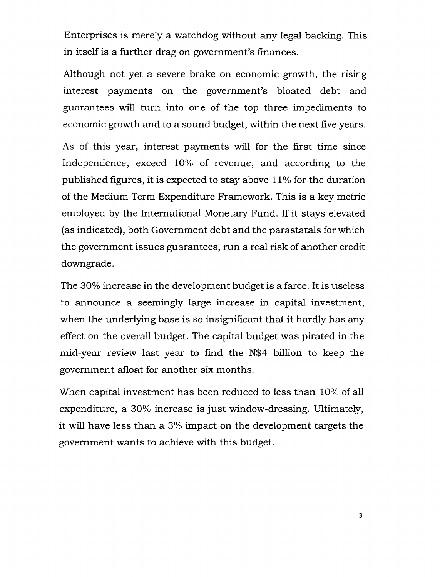Enterprises is merely a watchdog without any legal backing. This in itself is a further drag on government's finances.

Although not yet a severe brake on economic growth, the rising interest payments on the government's bloated debt and guarantees will turn into one of the top three impediments to economic growth and to a sound budget, within the next five years.

As of this year, interest payments will for the first time since Independence, exceed 10% of revenue, and according to the published figures, it is expected to stay above 11% for the duration of the Medium Term Expenditure Framework. This is a key metric employed by the International Monetary Fund. If it stays elevated (as indicated), both Government debt and the parastatals for which the government issues guarantees, run a real risk of another credit downgrade.

The 30% increase in the development budget is a farce. It is useless to announce a seemingly large increase in capital investment, when the underlying base is so insignificant that it hardly has any effect on the overall budget. The capital budget was pirated in the mid-year review last year to find the N\$4 billion to keep the government afloat for another six months.

When capital investment has been reduced to less than 10% of all expenditure, a 30% increase is just window-dressing. Ultimately, it will have less than a 3% impact on the development targets the government wants to achieve with this budget.

3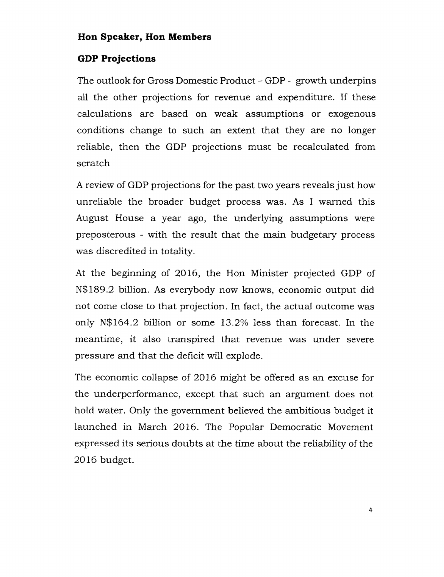#### **Hon Speaker, Hon Members**

#### **GDP Projections**

The outlook for Gross Domestic Product - GDP - growth underpins all the other projections for revenue and expenditure. If these calculations are based on weak assumptions or exogenous conditions change to such an extent that they are no longer reliable, then the GDP projections must be recalculated from scratch

A review of GDP projections for the past two years reveals just how unreliable the broader budget process was. As I warned this August House a year ago, the underlying assumptions were preposterous - with the result that the *main* budgetary process was discredited in totality.

At the beginning of 2016, the Hon Minister projected GDP of N\$189.2 billion. As everybody now knows, economic output did not come close to that projection. In fact, the actual outcome was only N\$164.2 billion or some 13.2% less than forecast. In the meantime, it also transpired that revenue was under severe pressure and that the deficit will explode.

The economic collapse of 2016 might be offered as an excuse for the underperformance, except that such an argument does not hold water. Only the government believed the ambitious budget it launched in March 2016. The Popular Democratic Movement expressed its serious doubts at the time about the reliability of the 2016 budget.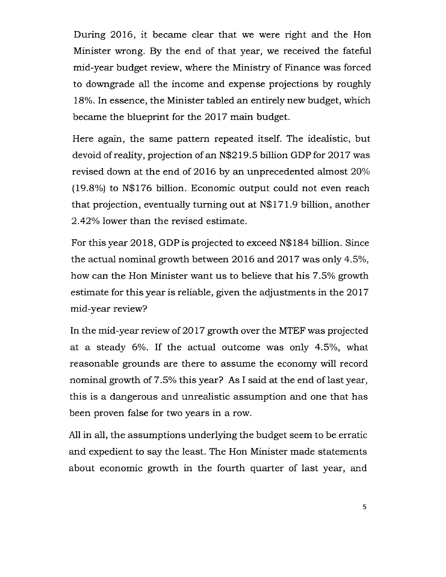During 2016, it became clear that we were right and the Hon Minister wrong. By the end of that year, we received the fateful mid-year budget review, where the Ministry of Finance was forced to downgrade all the income and expense projections by roughly 18%. In essence, the Minister tabled an entirely new budget, which became the blueprint for the 2017 main budget.

Here again, the same pattern repeated itself. The idealistic, but devoid ofreality, projection of an N\$219.5 billion GDP for 2017 was revised down at the end of 2016 by an unprecedented almost 20% (19.8%) to N\$176 billion. Economic output could not even reach that projection, eventually turning out at N\$171.9 billion, another 2.42% lower than the revised estimate.

For this year 2018, GDP is projected to exceed N\$184 billion. Since the actual nominal growth between 2016 and 2017 was only 4.5%, how can the Hon Minister want us to believe that his 7.5% growth estimate for this year is reliable, given the adjustments in the 2017 mid-year review?

In the mid-year review of 2017 growth over the MTEF was projected at a steady 6%. If the actual outcome was only 4.5%, what reasonable grounds are there to assume the economy will record nominal growth of 7.5% this year? As I said at the end of last year, this is a dangerous and unrealistic assumption and one that has been proven false for two years in a row.

All in all, the assumptions underlying the budget seem to be erratic and expedient to say the least. The Hon Minister made statements about economic growth in the fourth quarter of last year, and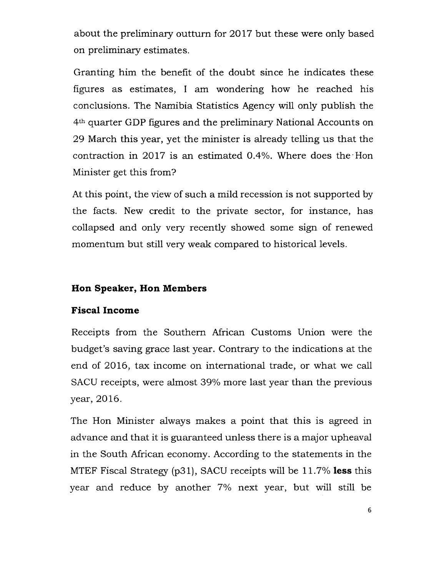about the preliminary outturn for 2017 but these were only based on preliminary estimates.

Granting him the benefit of the doubt since he indicates these figures as estimates, I am wondering how he reached his conclusions. The Namibia Statistics Agency will only publish the 4th quarter GDP figures and the preliminary National Accounts on 29 March this year, yet the minister is already telling us that the contraction in 2017 is an estimated 0.4%. Where does the -Hon Minister get this from?

At this point, the view of such a mild recession is not supported by the facts. New credit to the private sector, for instance, has collapsed and only very recently showed some sign of renewed momentum but still very weak compared to historical levels.

## **Hon Speaker, Hon Members**

### **Fiscal Income**

Receipts from the Southern African Customs Union were the budget's saving grace last year. Contrary to the indications at the end of 2016, tax income on international trade, or what we call SACU receipts, were almost 39% more last year than the previous year, 2016.

The Hon Minister always makes a point that this is agreed in advance and that it is guaranteed unless there is a major upheaval in the South African economy. According to the statements in the MTEF Fiscal Strategy (p31), SACU receipts will be 11.7% **less** this year and reduce by another 7% next year, but will still be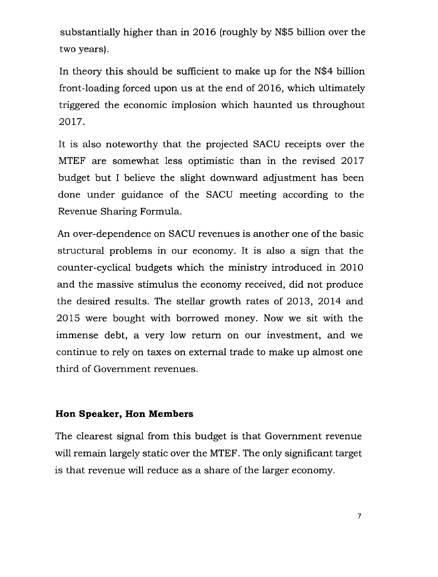substantially higher than in 2016 (roughly by N\$5 billion over the two years).

In theory this should be sufficient to make up for the N\$4 billion front-loading forced upon us at the end of 2016, which ultimately triggered the economic implosion which haunted us throughout 2017.

It is also noteworthy that the projected SACU receipts over the MTEF are somewhat less optimistic than in the revised 2017 budget but I believe the slight downward adjustment has been done under guidance of the SACU meeting according to the Revenue Sharing Formula.

An over-dependence on SACU revenues is another one of the basic structural problems in our economy. It is also a sign that the counter-cyclical budgets which the ministry introduced in 2010 and the massive stimulus the economy received, did not produce the desired results. The stellar growth rates of 2013, 2014 and 2015 were bought with borrowed money. Now we sit with the immense debt, a very low return on our investment, and we continue to rely on taxes on external trade to make up almost one third of Government revenues.

#### **Hon Speaker, Hon Members**

The clearest signal from this budget is that Government revenue will remain largely static over the MTEF. The only significant target is that revenue will reduce as a share of the larger economy.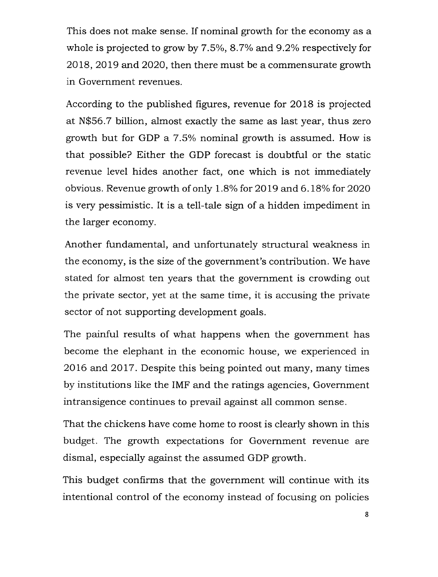This does not make sense. If nominal growth for the economy as a whole is projected to grow by  $7.5\%$ ,  $8.7\%$  and  $9.2\%$  respectively for 2018, 2019 and 2020, then there must be a commensurate growth in Government revenues.

According to the published figures, revenue for 2018 is projected at N\$56.7 billion, *almost* exactly the same as last year, thus zero growth but for GDP a 7.5% nominal growth is assumed. How is that possible? Either the GDP forecast is doubtful or the static revenue level hides another fact, one which is not immediately obvious. Revenue growth of only 1.8%for 2019 and 6.18% for 2020 is very pessimistic. It is a tell-tale sign of a hidden impediment in the larger economy.

Another fundamental, and unfortunately structural weakness in the economy, is the size of the government's contribution. We have stated for almost ten years that the government is crowding out the private sector, yet at the same time, it is accusing the private sector of not supporting development *goals.*

The painful results of what happens when the government has become the elephant in the economic house, we experienced in 2016 and 2017. Despite this being pointed out many, many times by institutions like the IMF and the ratings agencies, Government intransigence continues to prevail against all common sense.

That the chickens have come home to roost is clearly shown in this budget. The growth expectations for Government revenue are dismal, especially against the assumed GDP growth.

This budget confirms that the government will continue with its intentional control of the economy instead of focusing on policies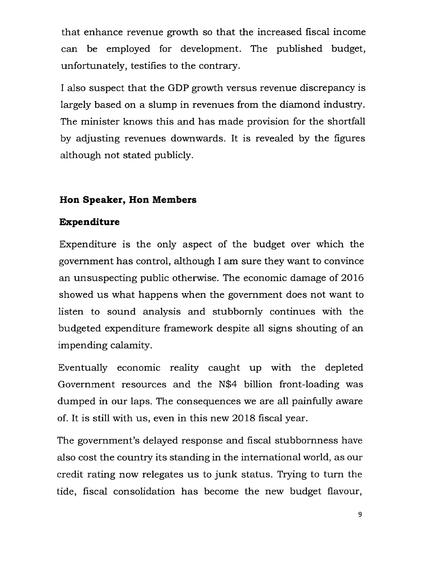that enhance revenue growth so that the increased fiscal income can be employed for development. The published budget, unfortunately, testifies to the contrary.

I also suspect that the GDP growth versus revenue discrepancy is largely based on a slump in revenues from the diamond industry. The minister knows this and has made provision for the shortfall by adjusting revenues downwards. It is revealed by the figures although not stated publicly.

## **Hon Speaker, Hon Members**

#### **Expenditure**

Expenditure is the only aspect of the budget over which the government has control, although I am sure they want to convince an unsuspecting public otherwise. The economic damage of 2016 showed us what happens when the government does not want to listen to sound analysis and stubbornly continues with the budgeted expenditure framework despite all signs shouting of an impending calamity.

Eventually economic reality caught up with the depleted Government resources and the N\$4 billion front-loading was dumped in our laps. The consequences we are all painfully aware of. It is still with us, even in this new 2018 fiscal year.

The government's delayed response and fiscal stubbornness have also cost the country its standing in the international world, as our credit rating now relegates us to junk status. Trying to turn the tide, fiscal consolidation has become the new budget flavour,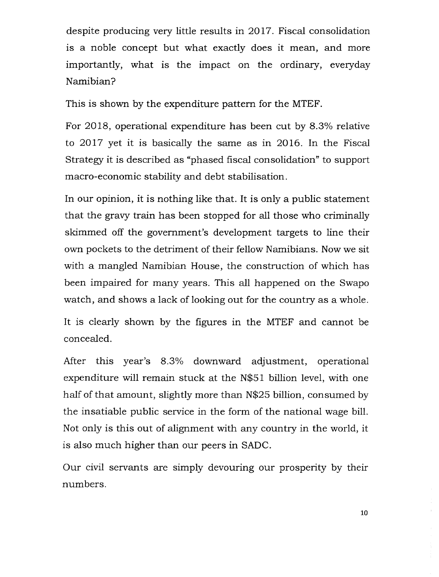despite producing very little results in 2017. Fiscal consolidation is a noble concept but what exactly does it mean, and more importantly, what is the impact on the ordinary, everyday Namibian?

This is shown by the expenditure pattern for the MTEF.

For 2018, operational expenditure has been cut by 8.3% relative to 2017 yet it is basically the same as in 2016. In the Fiscal Strategy it is described as "phased fiscal consolidation" to support macro-economic stability and debt stabilisation.

In our opinion, it is nothing like that. It is only a public statement that the gravy train has been stopped for all those who criminally skimmed off the government's development targets to line their own pockets to the detriment of their fellow Namibians. Now we sit with a mangled Namibian House, the construction of which has been impaired for many years. This all happened on the Swapo watch, and shows a lack of looking out for the country as a whole.

It is clearly shown by the figures in the MTEF and cannot be concealed.

After this year's 8.3% downward adjustment, operational expenditure will remain stuck at the N\$51 billion level, with one half of that amount, slightly more than N\$25 billion, consumed by the insatiable public service in the form of the national wage bill. Not only is this out of alignment with any country in the world, it is also much higher than our peers in SADC.

Our civil servants are simply devouring our prosperity by their numbers.

10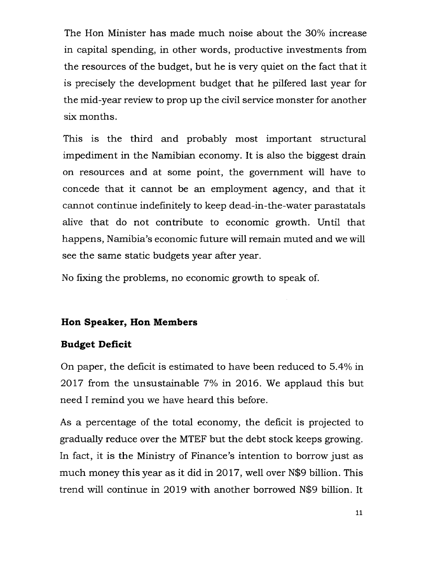The Hon Minister has made much noise about the 30% increase in capital spending, in other words, productive investments from the resources of the budget, but he is very quiet on the fact that it is precisely the development budget that he pilfered last year for the mid-year review to prop up the civil service monster for another six months.

This is the third and probably most important structural impediment in the Namibian economy. It is also the biggest drain on resources and at some point, the government will have to concede that it cannot be an employment agency, and that it cannot continue indefinitely to keep dead-in-the-water parastatals alive that do not contribute to economic growth. Until that happens, Namibia's economic future will remain muted and we will see the same static budgets year after year.

No fixing the problems, no economic growth to speak of.

#### **Hon Speaker, Hon Members**

#### **Budget Deficit**

On paper, the deficit is estimated to have been reduced to 5.4% in 2017 from the unsustainable 7% in 2016. We applaud this but need I remind you we have heard this before.

As a percentage of the total economy, the deficit is projected to gradually reduce over the MTEF but the debt stock keeps growing. In fact, it is the Ministry of Finance's intention to borrow just as much money this year as it did in 2017, well over N\$9 billion. This trend will continue in 2019 with another borrowed N\$9 billion. It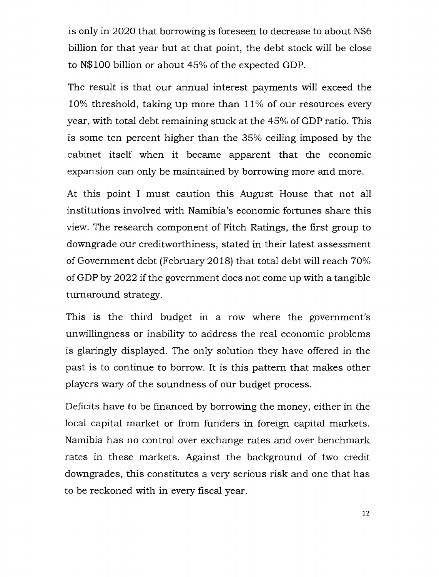is only in 2020 that borrowing is foreseen to decrease to about N\$6 billion for that year but at that point, the debt stock will be close to N\$100 billion or about 45% of the expected GDP.

The result is that our annual interest payments will exceed the 10% threshold, taking up more than 11% of our resources every year, with total debt remaining stuck at the 45% of GDP ratio. This is some ten percent higher than the 35% ceiling imposed by the cabinet itself when it became apparent that the economic expansion can only be maintained by borrowing more and more.

At this point I must caution this August House that not all institutions involved with Namibia's economic fortunes share this view. The research component of Fitch Ratings, the first group to downgrade our creditworthiness, stated in their latest assessment of Government debt (February 2018) that total debt will reach  $70\%$ of GDP by 2022 if the government does not come up with a tangible turnaround strategy.

This is the third budget in a row where the government's unwillingness or inability to address the real economic problems is glaringly displayed. The only solution they have offered in the past is to continue to borrow. It is this pattern that makes other players wary of the soundness of our budget process.

Deficits have to be financed by borrowing the money, either in the local capital market or from funders in foreign capital markets. Namibia has no control over exchange rates and over benchmark rates in these markets. Against the background of two credit downgrades, this constitutes a very serious risk and one that has to be reckoned with in every fiscal year.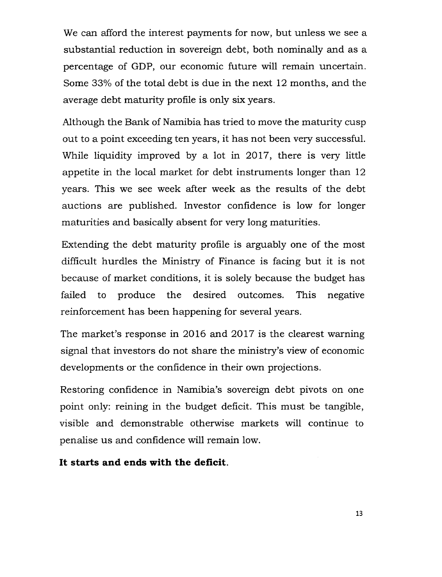We can afford the interest payments for now, but unless we see a substantial reduction in sovereign debt, both nominally and as a percentage of GDP, our economic future will remain uncertain. Some 33% of the total debt is due in the next 12 months, and the average debt maturity profile is only six years.

Although the Bank of Namibia has tried to move the maturity cusp out to a point exceeding ten years, it has not been very successful. While liquidity improved by a lot in 2017, there is very little appetite in the local market for debt instruments longer than 12 years. This we see week after week as the results of the debt auctions are published. Investor confidence is low for longer maturities and basically absent for very long maturities.

Extending the debt maturity profile is arguably one of the most difficult hurdles the Ministry of Finance is facing but it is not because of market conditions, it is solely because the budget has failed to produce the desired outcomes. This negative reinforcement has been happening for several years.

The market's response in 2016 and 2017 is the clearest warning signal that investors do not share the ministry's view of economic developments or the confidence in their own projections.

Restoring confidence in Namibia's sovereign debt pivots on one point only: reining in the budget deficit. This must be tangible, visible and demonstrable otherwise markets will continue to penalise us and confidence will remain low.

#### **It starts and ends with the deficit.**